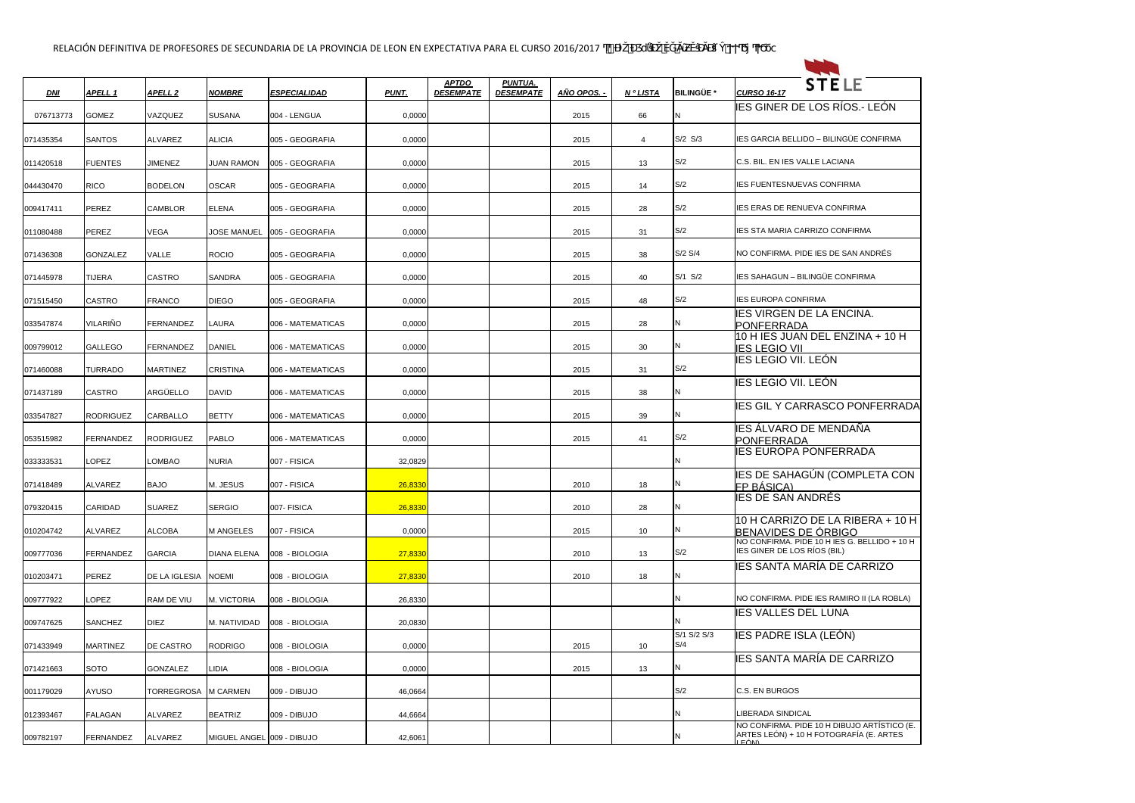| $DM$      | APELL 1          | APELL <sub>2</sub> | <b>NOMBRE</b>             | <b>ESPECIALIDAD</b> | <b>PUNT.</b> | <b>APTDO</b><br><b>DESEMPATE</b> | <b>PUNTUA.</b><br><b>DESEMPATE</b> | AÑO OPOS. | <b>NºLISTA</b> | <b>BILINGÜE *</b>  | <b>STELE</b><br><b>CURSO 16-17</b>                                                             |
|-----------|------------------|--------------------|---------------------------|---------------------|--------------|----------------------------------|------------------------------------|-----------|----------------|--------------------|------------------------------------------------------------------------------------------------|
| 076713773 | <b>GOMEZ</b>     | VAZQUEZ            | <b>SUSANA</b>             | 004 - LENGUA        | 0,0000       |                                  |                                    | 2015      | 66             | IN.                | IES GINER DE LOS RÍOS.- LEÓN                                                                   |
| 071435354 | <b>SANTOS</b>    | ALVAREZ            | <b>ALICIA</b>             | 005 - GEOGRAFIA     | 0,0000       |                                  |                                    | 2015      | $\overline{4}$ | S/2 S/3            | IES GARCIA BELLIDO - BILINGÜE CONFIRMA                                                         |
| 011420518 | <b>FUENTES</b>   | <b>JIMENEZ</b>     | JUAN RAMON                | 005 - GEOGRAFIA     | 0,0000       |                                  |                                    | 2015      | 13             | S/2                | C.S. BIL. EN IES VALLE LACIANA                                                                 |
| 044430470 | <b>RICO</b>      | <b>BODELON</b>     | <b>OSCAR</b>              | 005 - GEOGRAFIA     | 0,0000       |                                  |                                    | 2015      | 14             | S/2                | <b>IES FUENTESNUEVAS CONFIRMA</b>                                                              |
| 009417411 | <b>PEREZ</b>     | <b>CAMBLOR</b>     | <b>ELENA</b>              | 005 - GEOGRAFIA     | 0,0000       |                                  |                                    | 2015      | 28             | S/2                | <b>IES ERAS DE RENUEVA CONFIRMA</b>                                                            |
| 011080488 | <b>PEREZ</b>     | <b>VEGA</b>        | JOSE MANUEL               | 005 - GEOGRAFIA     | 0,0000       |                                  |                                    | 2015      | 31             | S/2                | <b>IES STA MARIA CARRIZO CONFIRMA</b>                                                          |
| 071436308 | <b>GONZALEZ</b>  | VALLE              | <b>ROCIO</b>              | 005 - GEOGRAFIA     | 0,0000       |                                  |                                    | 2015      | 38             | S/2 S/4            | NO CONFIRMA. PIDE IES DE SAN ANDRÉS                                                            |
| 071445978 | <b>TIJERA</b>    | <b>CASTRO</b>      | <b>SANDRA</b>             | 005 - GEOGRAFIA     | 0,0000       |                                  |                                    | 2015      | 40             | $S/1$ $S/2$        | IES SAHAGUN - BILINGÜE CONFIRMA                                                                |
| 071515450 | CASTRO           | <b>FRANCO</b>      | <b>DIEGO</b>              | 005 - GEOGRAFIA     | 0,0000       |                                  |                                    | 2015      | 48             | S/2                | <b>IES EUROPA CONFIRMA</b>                                                                     |
| 033547874 | <b>VILARIÑO</b>  | <b>FERNANDEZ</b>   | <b>LAURA</b>              | 006 - MATEMATICAS   | 0,0000       |                                  |                                    | 2015      | 28             |                    | IES VIRGEN DE LA ENCINA.<br><b>PONFERRADA</b>                                                  |
| 009799012 | <b>GALLEGO</b>   | FERNANDEZ          | <b>DANIEL</b>             | 006 - MATEMATICAS   | 0,0000       |                                  |                                    | 2015      | 30             |                    | 10 H IES JUAN DEL ENZINA + 10 H<br><b>IES LEGIO VII</b>                                        |
| 071460088 | <b>TURRADO</b>   | <b>MARTINEZ</b>    | <b>CRISTINA</b>           | 006 - MATEMATICAS   | 0,0000       |                                  |                                    | 2015      | 31             | S/2                | <b>IES LEGIO VII. LEÓN</b>                                                                     |
| 071437189 | <b>CASTRO</b>    | ARGÜELLO           | <b>DAVID</b>              | 006 - MATEMATICAS   | 0,0000       |                                  |                                    | 2015      | 38             |                    | IES LEGIO VII. LEÓN                                                                            |
| 033547827 | <b>RODRIGUEZ</b> | CARBALLO           | <b>BETTY</b>              | 006 - MATEMATICAS   | 0,0000       |                                  |                                    | 2015      | 39             |                    | <b>IES GIL Y CARRASCO PONFERRADA</b>                                                           |
| 053515982 | <b>FERNANDEZ</b> | RODRIGUEZ          | <b>PABLO</b>              | 006 - MATEMATICAS   | 0,0000       |                                  |                                    | 2015      | 41             | S/2                | IES ÁLVARO DE MENDAÑA<br>PONFERRADA                                                            |
| 033333531 | <b>LOPEZ</b>     | _OMBAO             | <b>NURIA</b>              | 007 - FISICA        | 32,0829      |                                  |                                    |           |                |                    | <b>IES EUROPA PONFERRADA</b>                                                                   |
| 071418489 | ALVAREZ          | <b>BAJO</b>        | M. JESUS                  | 007 - FISICA        | 26,8330      |                                  |                                    | 2010      | 18             |                    | IES DE SAHAGÚN (COMPLETA CON<br>FP BÁSICA)                                                     |
| 079320415 | CARIDAD          | <b>SUAREZ</b>      | <b>SERGIO</b>             | 007- FISICA         | 26,8330      |                                  |                                    | 2010      | 28             | ΙN                 | <b>IES DE SAN ANDRÉS</b>                                                                       |
| 010204742 | <b>ALVAREZ</b>   | ALCOBA             | <b>M ANGELES</b>          | 007 - FISICA        | 0,0000       |                                  |                                    | 2015      | 10             | N                  | 10 H CARRIZO DE LA RIBERA + 10 H<br>BENAVIDES DE ÓRBIGO                                        |
| 009777036 | <b>FERNANDEZ</b> | <b>GARCIA</b>      | <b>DIANA ELENA</b>        | 008 - BIOLOGIA      | 27,8330      |                                  |                                    | 2010      | 13             | S/2                | NO CONFIRMA. PIDE 10 H IES G. BELLIDO + 10 H<br>IES GINER DE LOS RIOS (BIL)                    |
| 010203471 | PEREZ            | DE LA IGLESIA      | <b>NOEMI</b>              | 008 - BIOLOGIA      | 27,8330      |                                  |                                    | 2010      | 18             | N                  | IES SANTA MARÍA DE CARRIZO                                                                     |
| 009777922 | <b>LOPEZ</b>     | <b>RAM DE VIU</b>  | M. VICTORIA               | 008 - BIOLOGIA      | 26,8330      |                                  |                                    |           |                | ΙN                 | NO CONFIRMA. PIDE IES RAMIRO II (LA ROBLA)                                                     |
| 009747625 | SANCHEZ          | <b>DIEZ</b>        | M. NATIVIDAD              | 008 - BIOLOGIA      | 20,0830      |                                  |                                    |           |                | ΙN                 | <b>IES VALLES DEL LUNA</b>                                                                     |
| 071433949 | <b>MARTINEZ</b>  | <b>DE CASTRO</b>   | <b>RODRIGO</b>            | 008 - BIOLOGIA      | 0,0000       |                                  |                                    | 2015      | 10             | S/1 S/2 S/3<br>S/4 | IES PADRE ISLA (LEÓN)                                                                          |
| 071421663 | <b>SOTO</b>      | <b>GONZALEZ</b>    | LIDIA                     | 008 - BIOLOGIA      | 0,0000       |                                  |                                    | 2015      | 13             | N                  | IES SANTA MARÍA DE CARRIZO                                                                     |
| 001179029 | AYUSO            | <b>TORREGROSA</b>  | <b>M CARMEN</b>           | 009 - DIBUJO        | 46,0664      |                                  |                                    |           |                | S/2                | C.S. EN BURGOS                                                                                 |
| 012393467 | <b>FALAGAN</b>   | <b>ALVAREZ</b>     | <b>BEATRIZ</b>            | 009 - DIBUJO        | 44,6664      |                                  |                                    |           |                | ΙN                 | <b>LIBERADA SINDICAL</b>                                                                       |
| 009782197 | FERNANDEZ        | ALVAREZ            | MIGUEL ANGEL 009 - DIBUJO |                     | 42,6061      |                                  |                                    |           |                |                    | NO CONFIRMA. PIDE 10 H DIBUJO ARTÍSTICO (E.<br>ARTES LEÓN) + 10 H FOTOGRAFÍA (E. ARTES<br>EÓNN |

 $\frac{1}{2}$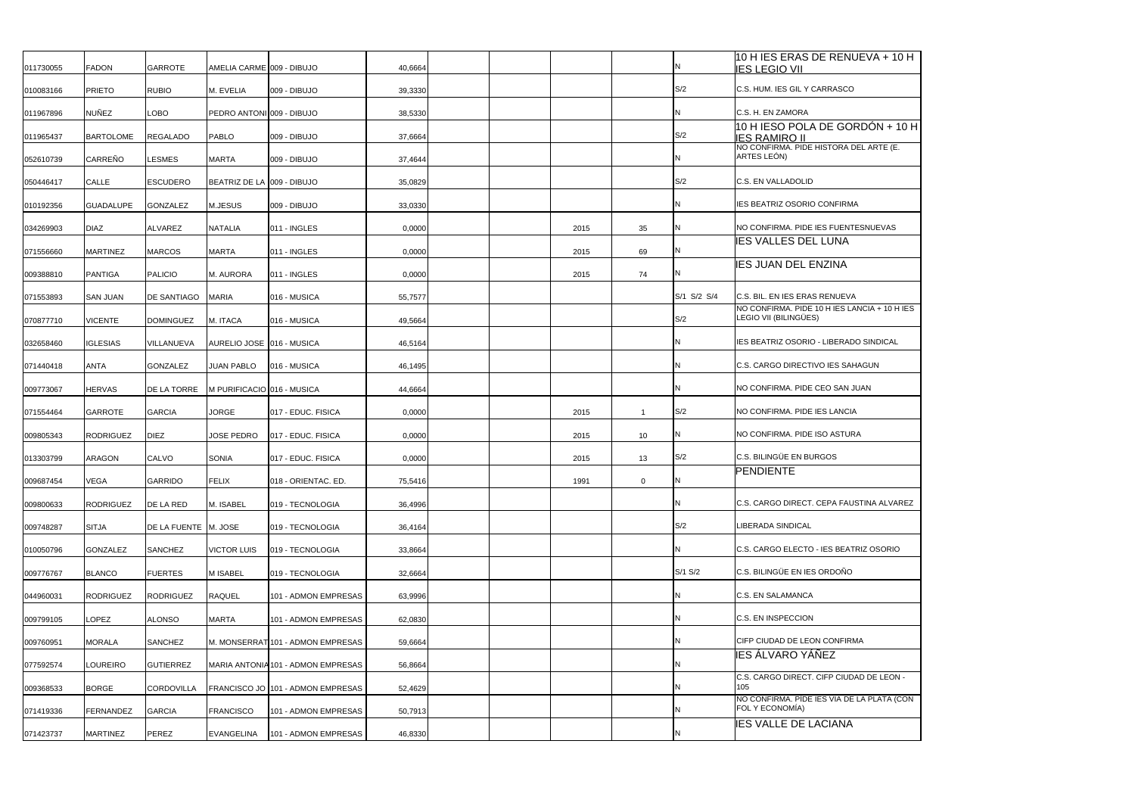| 011730055 | <b>FADON</b>     | <b>GARROTE</b>       | AMELIA CARME 009 - DIBUJO  |                                    | 40,6664 |  |      |    |             | 10 H IES ERAS DE RENUEVA + 10 H<br><b>IES LEGIO VII</b>               |
|-----------|------------------|----------------------|----------------------------|------------------------------------|---------|--|------|----|-------------|-----------------------------------------------------------------------|
| 010083166 | <b>PRIETO</b>    | <b>RUBIO</b>         | M. EVELIA                  | 009 - DIBUJO                       | 39,3330 |  |      |    | S/2         | C.S. HUM. IES GIL Y CARRASCO                                          |
| 011967896 | <b>NUÑEZ</b>     | <b>LOBO</b>          | PEDRO ANTONI 009 - DIBUJO  |                                    | 38,5330 |  |      |    |             | C.S. H. EN ZAMORA                                                     |
| 011965437 | <b>BARTOLOME</b> | <b>REGALADO</b>      | <b>PABLO</b>               | 009 - DIBUJO                       | 37,6664 |  |      |    | S/2         | 10 H IESO POLA DE GORDÓN + 10 H<br><b>IES RAMIRO II</b>               |
| 052610739 | <b>CARREÑO</b>   | <b>LESMES</b>        | <b>MARTA</b>               | 009 - DIBUJO                       | 37,4644 |  |      |    |             | NO CONFIRMA. PIDE HISTORA DEL ARTE (E.<br>ARTES LEÓN)                 |
| 050446417 | CALLE            | <b>ESCUDERO</b>      | BEATRIZ DE LA 009 - DIBUJO |                                    | 35,0829 |  |      |    | S/2         | C.S. EN VALLADOLID                                                    |
| 010192356 | <b>GUADALUPE</b> | <b>GONZALEZ</b>      | M.JESUS                    | 009 - DIBUJO                       | 33,0330 |  |      |    |             | IES BEATRIZ OSORIO CONFIRMA                                           |
| 034269903 | <b>DIAZ</b>      | <b>ALVAREZ</b>       | <b>NATALIA</b>             | 011 - INGLES                       | 0,0000  |  | 2015 | 35 |             | NO CONFIRMA. PIDE IES FUENTESNUEVAS                                   |
| 071556660 | <b>MARTINEZ</b>  | <b>MARCOS</b>        | <b>MARTA</b>               | 011 - INGLES                       | 0,0000  |  | 2015 | 69 |             | <b>IES VALLES DEL LUNA</b>                                            |
| 009388810 | <b>PANTIGA</b>   | <b>PALICIO</b>       | M. AURORA                  | 011 - INGLES                       | 0,0000  |  | 2015 | 74 |             | <b>IES JUAN DEL ENZINA</b>                                            |
| 071553893 | <b>SAN JUAN</b>  | <b>DE SANTIAGO</b>   | <b>MARIA</b>               | 016 - MUSICA                       | 55,7577 |  |      |    | S/1 S/2 S/4 | C.S. BIL. EN IES ERAS RENUEVA                                         |
| 070877710 | <b>VICENTE</b>   | <b>DOMINGUEZ</b>     | M. ITACA                   | 016 - MUSICA                       | 49,5664 |  |      |    | S/2         | NO CONFIRMA. PIDE 10 H IES LANCIA + 10 H IES<br>LEGIO VII (BILINGÜES) |
| 032658460 | <b>IGLESIAS</b>  | VILLANUEVA           | AURELIO JOSE 016 - MUSICA  |                                    | 46,5164 |  |      |    |             | IES BEATRIZ OSORIO - LIBERADO SINDICAL                                |
| 071440418 | <b>ANTA</b>      | <b>GONZALEZ</b>      | <b>JUAN PABLO</b>          | 016 - MUSICA                       | 46,1495 |  |      |    |             | C.S. CARGO DIRECTIVO IES SAHAGUN                                      |
| 009773067 | <b>HERVAS</b>    | <b>DE LA TORRE</b>   | M PURIFICACIO 016 - MUSICA |                                    | 44,6664 |  |      |    |             | NO CONFIRMA. PIDE CEO SAN JUAN                                        |
| 071554464 | <b>GARROTE</b>   | <b>GARCIA</b>        | <b>JORGE</b>               | 017 - EDUC, FISICA                 | 0,0000  |  | 2015 | -1 | S/2         | NO CONFIRMA. PIDE IES LANCIA                                          |
| 009805343 | <b>RODRIGUEZ</b> | <b>DIEZ</b>          | <b>JOSE PEDRO</b>          | 017 - EDUC. FISICA                 | 0,0000  |  | 2015 | 10 |             | NO CONFIRMA. PIDE ISO ASTURA                                          |
| 013303799 | <b>ARAGON</b>    | <b>CALVO</b>         | <b>SONIA</b>               | 017 - EDUC. FISICA                 | 0,0000  |  | 2015 | 13 | S/2         | C.S. BILINGÜE EN BURGOS                                               |
| 009687454 | <b>VEGA</b>      | <b>GARRIDO</b>       | <b>FELIX</b>               | 018 - ORIENTAC. ED.                | 75,5416 |  | 1991 | 0  | IN          | <b>PENDIENTE</b>                                                      |
| 009800633 | <b>RODRIGUEZ</b> | DE LA RED            | M. ISABEL                  | 019 - TECNOLOGIA                   | 36,4996 |  |      |    |             | C.S. CARGO DIRECT. CEPA FAUSTINA ALVAREZ                              |
| 009748287 | <b>SITJA</b>     | DE LA FUENTE M. JOSE |                            | 019 - TECNOLOGIA                   | 36,4164 |  |      |    | S/2         | LIBERADA SINDICAL                                                     |
| 010050796 | <b>GONZALEZ</b>  | <b>SANCHEZ</b>       | <b>VICTOR LUIS</b>         | 019 - TECNOLOGIA                   | 33,8664 |  |      |    |             | C.S. CARGO ELECTO - IES BEATRIZ OSORIO                                |
| 009776767 | <b>BLANCO</b>    | <b>FUERTES</b>       | <b>MISABEL</b>             | 019 - TECNOLOGIA                   | 32,6664 |  |      |    | S/1 S/2     | C.S. BILINGÜE EN IES ORDOÑO                                           |
| 044960031 | <b>RODRIGUEZ</b> | <b>RODRIGUEZ</b>     | <b>RAQUEL</b>              | 101 - ADMON EMPRESAS               | 63,9996 |  |      |    |             | C.S. EN SALAMANCA                                                     |
| 009799105 | <b>LOPEZ</b>     | <b>ALONSO</b>        | <b>MARTA</b>               | 101 - ADMON EMPRESAS               | 62,0830 |  |      |    |             | C.S. EN INSPECCION                                                    |
| 009760951 | <b>MORALA</b>    | <b>SANCHEZ</b>       |                            | M. MONSERRAT 101 - ADMON EMPRESAS  | 59,6664 |  |      |    |             | CIFP CIUDAD DE LEON CONFIRMA                                          |
| 077592574 | <b>LOUREIRO</b>  | <b>GUTIERREZ</b>     |                            | MARIA ANTONIA 101 - ADMON EMPRESAS | 56,8664 |  |      |    |             | IES ÁLVARO YÁÑEZ                                                      |
| 009368533 | <b>BORGE</b>     | <b>CORDOVILLA</b>    |                            | FRANCISCO JO 101 - ADMON EMPRESAS  | 52,4629 |  |      |    |             | C.S. CARGO DIRECT. CIFP CIUDAD DE LEON -<br>105                       |
| 071419336 | <b>FERNANDEZ</b> | <b>GARCIA</b>        | <b>FRANCISCO</b>           | 101 - ADMON EMPRESAS               | 50,7913 |  |      |    |             | NO CONFIRMA. PIDE IES VIA DE LA PLATA (CON<br>FOL Y ECONOMÍA)         |
| 071423737 | <b>MARTINEZ</b>  | PEREZ                | EVANGELINA                 | 101 - ADMON EMPRESAS               | 46,8330 |  |      |    |             | <b>IES VALLE DE LACIANA</b>                                           |
|           |                  |                      |                            |                                    |         |  |      |    |             |                                                                       |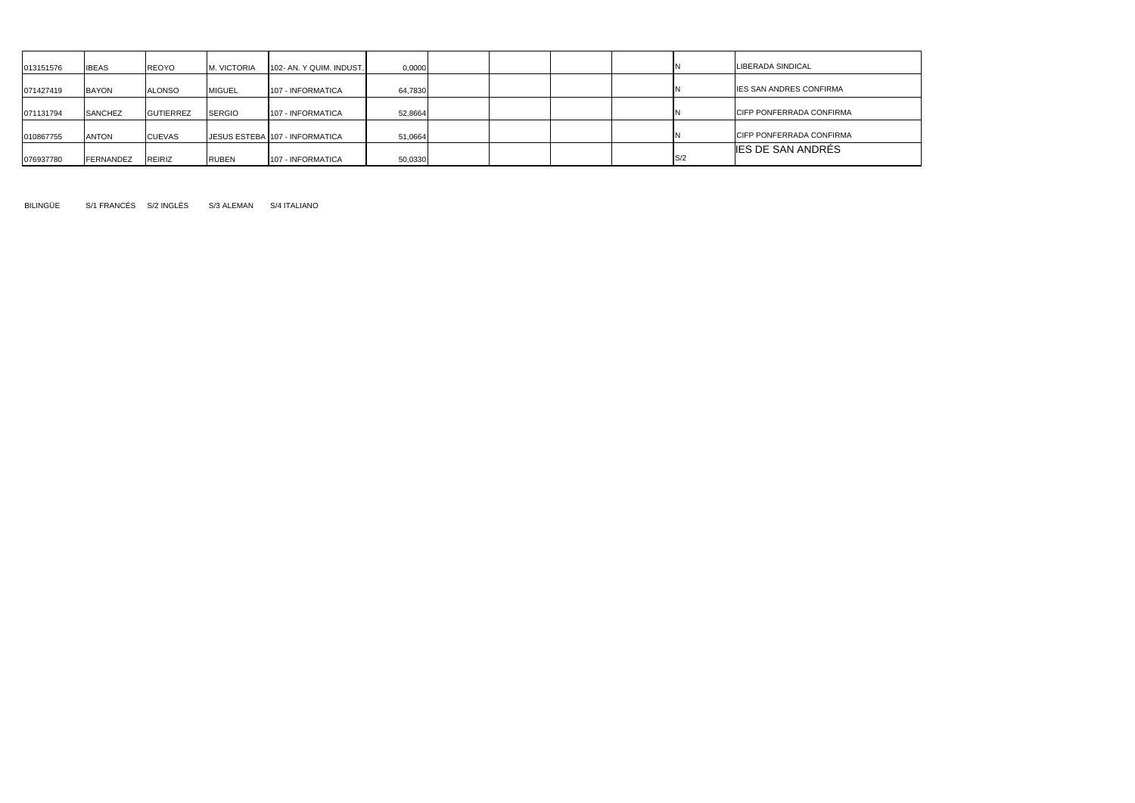| 013151576 | <b>IBEAS</b> | REOYO            | M. VICTORIA   | 102- AN. Y QUIM. INDUST.       | 0,0000  |  |  |     | LIBERADA SINDICAL                |
|-----------|--------------|------------------|---------------|--------------------------------|---------|--|--|-----|----------------------------------|
| 071427419 | <b>BAYON</b> | <b>ALONSO</b>    | <b>MIGUEL</b> | <b>107 - INFORMATICA</b>       | 64,7830 |  |  |     | <b>IES SAN ANDRES CONFIRMA</b>   |
| 071131794 | SANCHEZ      | <b>GUTIERREZ</b> | <b>SERGIO</b> | <b>107 - INFORMATICA</b>       | 52,8664 |  |  |     | <b>ICIFP PONFERRADA CONFIRMA</b> |
| 010867755 | <b>ANTON</b> | CUEVAS           |               | JESUS ESTEBA 107 - INFORMATICA | 51,0664 |  |  |     | <b>CIFP PONFERRADA CONFIRMA</b>  |
| 076937780 | FERNANDEZ    | REIRIZ           | <b>RUBEN</b>  | 107 - INFORMATICA              | 50,0330 |  |  | S/2 | <b>IES DE SAN ANDRÉS</b>         |

BILINGÜE S/1 FRANCÉS S/2 INGLÉS S/3 ALEMAN S/4 ITALIANO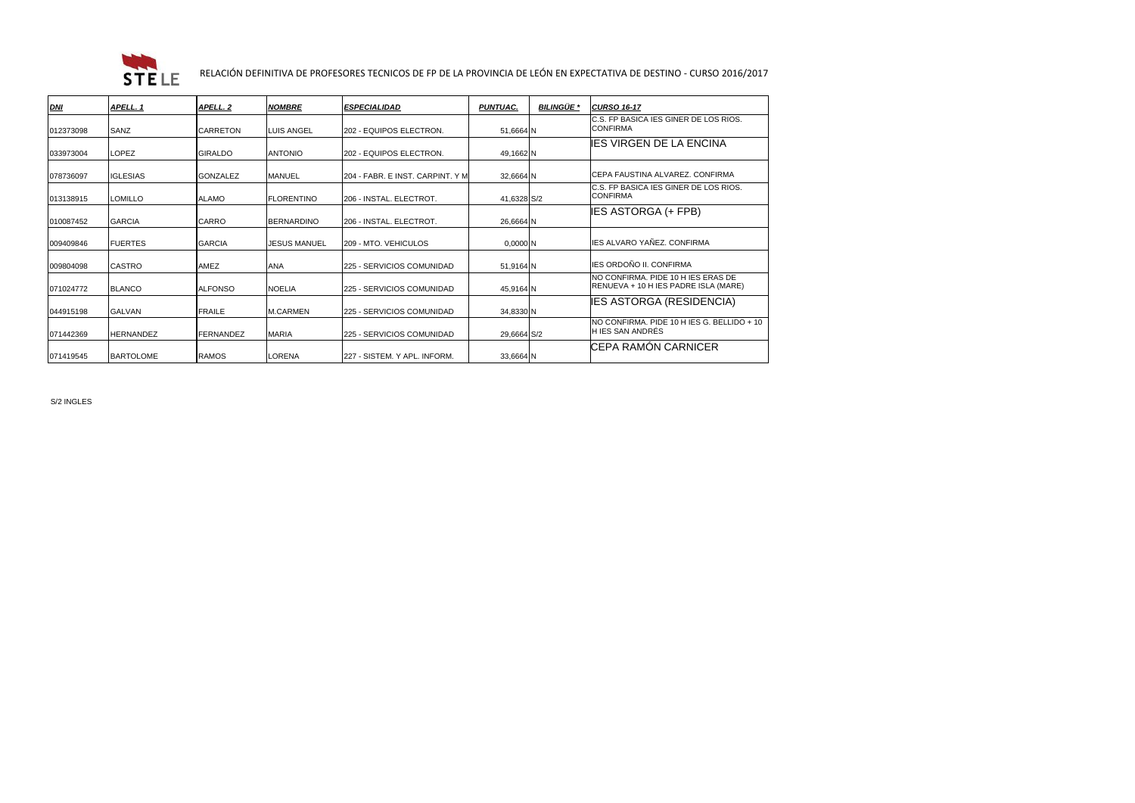

## RELACIÓN DEFINITIVA DE PROFESORES TECNICOS DE FP DE LA PROVINCIA DE LEÓN EN EXPECTATIVA DE DESTINO - CURSO 2016/2017

| <b>DNI</b> | APELL. 1         | APELL. 2         | <b>NOMBRE</b>       | <b>ESPECIALIDAD</b>              | <b>PUNTUAC.</b> | <b>BILINGÜE *</b> | <b>CURSO 16-17</b>                                                         |
|------------|------------------|------------------|---------------------|----------------------------------|-----------------|-------------------|----------------------------------------------------------------------------|
| 012373098  | <b>SANZ</b>      | <b>CARRETON</b>  | LUIS ANGEL          | 202 - EQUIPOS ELECTRON.          | 51,6664 N       |                   | C.S. FP BASICA IES GINER DE LOS RIOS.<br><b>CONFIRMA</b>                   |
| 033973004  | <b>LOPEZ</b>     | <b>GIRALDO</b>   | <b>ANTONIO</b>      | 202 - EQUIPOS ELECTRON.          | 49,1662 N       |                   | <b>IES VIRGEN DE LA ENCINA</b>                                             |
| 078736097  | <b>IGLESIAS</b>  | <b>GONZALEZ</b>  | <b>MANUEL</b>       | 204 - FABR. E INST. CARPINT. Y M | 32,6664 N       |                   | ICEPA FAUSTINA ALVAREZ. CONFIRMA                                           |
| 013138915  | <b>LOMILLO</b>   | <b>ALAMO</b>     | <b>FLORENTINO</b>   | I206 - INSTAL. ELECTROT.         | 41,6328 S/2     |                   | C.S. FP BASICA IES GINER DE LOS RIOS.<br><b>CONFIRMA</b>                   |
| 010087452  | <b>GARCIA</b>    | <b>CARRO</b>     | <b>BERNARDINO</b>   | 206 - INSTAL, ELECTROT.          | 26,6664 N       |                   | <b>IES ASTORGA (+ FPB)</b>                                                 |
| 009409846  | <b>IFUERTES</b>  | <b>GARCIA</b>    | <b>JESUS MANUEL</b> | 209 - MTO, VEHICULOS             | $0,0000$ N      |                   | IES ALVARO YAÑEZ. CONFIRMA                                                 |
| 009804098  | <b>CASTRO</b>    | AMEZ             | <b>ANA</b>          | 225 - SERVICIOS COMUNIDAD        | 51,9164 N       |                   | IES ORDOÑO II. CONFIRMA                                                    |
| 071024772  | <b>BLANCO</b>    | <b>ALFONSO</b>   | <b>NOELIA</b>       | 225 - SERVICIOS COMUNIDAD        | 45,9164 N       |                   | NO CONFIRMA. PIDE 10 H IES ERAS DE<br>RENUEVA + 10 H IES PADRE ISLA (MARE) |
| 044915198  | <b>GALVAN</b>    | <b>FRAILE</b>    | <b>M.CARMEN</b>     | 225 - SERVICIOS COMUNIDAD        | 34,8330 N       |                   | <b>IES ASTORGA (RESIDENCIA)</b>                                            |
| 071442369  | <b>HERNANDEZ</b> | <b>FERNANDEZ</b> | <b>MARIA</b>        | 225 - SERVICIOS COMUNIDAD        | 29,6664 S/2     |                   | NO CONFIRMA. PIDE 10 H IES G. BELLIDO + 10<br><b>H IES SAN ANDRÉS</b>      |
| 071419545  | <b>BARTOLOME</b> | <b>RAMOS</b>     | LORENA              | 227 - SISTEM. Y APL. INFORM.     | 33,6664 N       |                   | CEPA RAMÓN CARNICER                                                        |

S/2 INGLES